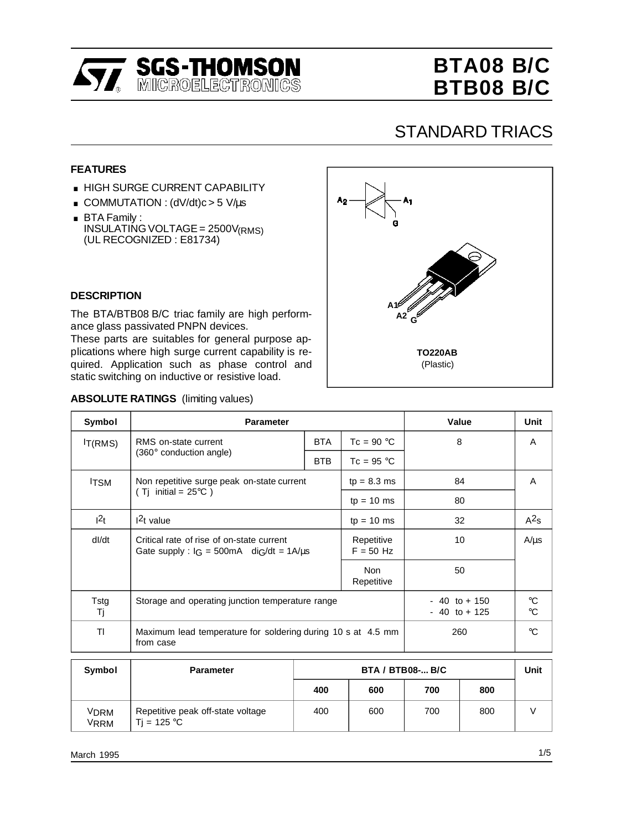

## **BTA08 B/C BTB08 B/C**

### STANDARD TRIACS

#### **FEATURES**

- **HIGH SURGE CURRENT CAPABILITY**
- HIGH SURGE CURRENT CAPABIL<br>■ COMMUTATION : (dV/dt)c > 5 V/µs
- COMMUTAT<br>■ BTA Family :<br>■ BTA Family : INSULATING VOLTAGE = 2500V(RMS) (UL RECOGNIZED : E81734)

# A5 **A1 A2 <sup>G</sup> TO220AB** (Plastic)

#### **DESCRIPTION**

The BTA/BTB08 B/C triac family are high performance glass passivated PNPN devices.

These parts are suitables for general purpose applications where high surge current capability is required. Application such as phase control and static switching on inductive or resistive load.

| Symbol                        | <b>Parameter</b>                                                                                |                           |              | Value                            | Unit                               |
|-------------------------------|-------------------------------------------------------------------------------------------------|---------------------------|--------------|----------------------------------|------------------------------------|
| $l_{T(RMS)}$                  | <b>BTA</b><br>RMS on-state current                                                              |                           | $Tc = 90 °C$ | 8                                | A                                  |
|                               | $(360^\circ$ conduction angle)                                                                  | <b>BTB</b>                | $Tc = 95 °C$ |                                  |                                    |
| <sup>I</sup> TSM              | Non repetitive surge peak on-state current                                                      |                           |              | 84                               | A                                  |
| (Tj initial = $25^{\circ}$ C) |                                                                                                 |                           | $tp = 10$ ms | 80                               |                                    |
| $ 2_t $                       | $12t$ value<br>$tp = 10$ ms                                                                     |                           |              | 32                               | $A^2s$                             |
| dl/dt                         | Critical rate of rise of on-state current<br>Gate supply : $I_G = 500 \text{mA}$ dig/dt = 1A/us | Repetitive<br>$F = 50$ Hz | 10           | $A/\mu s$                        |                                    |
|                               |                                                                                                 | 50                        |              |                                  |                                    |
| Tstg<br>Τj                    | Storage and operating junction temperature range                                                |                           |              | - 40 to + 150<br>$-40$ to $+125$ | $\rm ^{\circ}C$<br>$\rm ^{\circ}C$ |
| TI                            | Maximum lead temperature for soldering during 10 s at 4.5 mm<br>from case                       | 260                       | $^{\circ}C$  |                                  |                                    |

| <b>ABSOLUTE RATINGS</b> (limiting values) |  |
|-------------------------------------------|--|
|                                           |  |

| Symbol       | <b>Parameter</b>                                          | <b>BTA / BTB08- B/C</b> |     |     |     |  |
|--------------|-----------------------------------------------------------|-------------------------|-----|-----|-----|--|
|              |                                                           | 400                     | 600 | 700 | 800 |  |
| VDRM<br>VRRM | Repetitive peak off-state voltage<br>Ti = $125^{\circ}$ C | 400                     | 600 | 700 | 800 |  |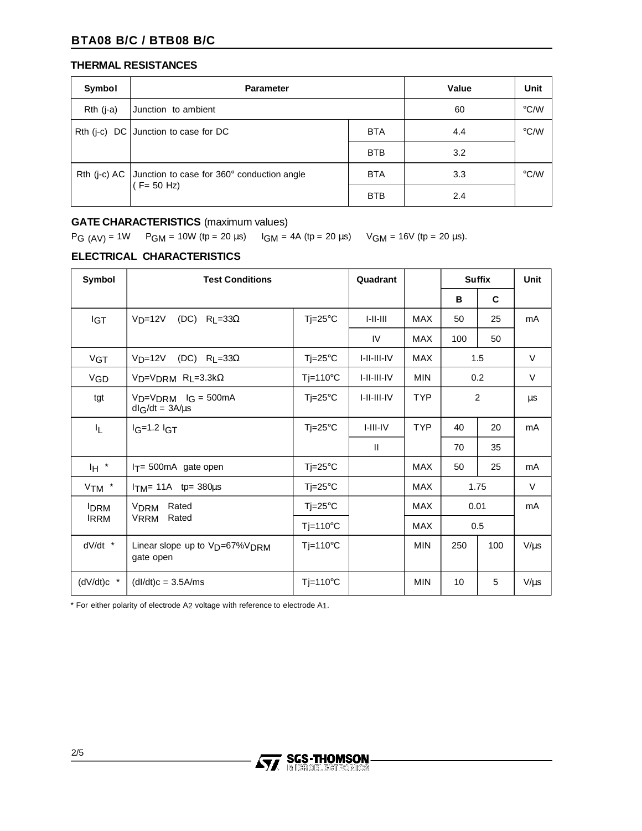#### **BTA08 B/C / BTB08 B/C**

#### **THERMAL RESISTANCES**

| Symbol    | <b>Parameter</b>                                                            | Value      | Unit          |               |
|-----------|-----------------------------------------------------------------------------|------------|---------------|---------------|
| Rth (j-a) | Junction to ambient                                                         | 60         | $\degree$ C/W |               |
|           | Rth (j-c) $DC$ Junction to case for DC                                      | <b>BTA</b> | 4.4           | $\degree$ C/W |
|           |                                                                             | <b>BTB</b> | 3.2           |               |
|           | Rth (j-c) AC   Junction to case for 360° conduction angle<br>$(CF = 50 Hz)$ |            | 3.3           | $\degree$ C/W |
|           |                                                                             |            | 2.4           |               |

#### **GATE CHARACTERISTICS** (maximum values)

 $PG (AV) = 1W$   $PGM = 10W (tp = 20 \mu s)$   $IGM = 4A (tp = 20 \mu s)$   $VGM = 16V (tp = 20 \mu s)$ .

#### **ELECTRICAL CHARACTERISTICS**

| Symbol       | <b>Test Conditions</b>                                              |                    | Quadrant       |            | <b>Suffix</b> |     | Unit      |
|--------------|---------------------------------------------------------------------|--------------------|----------------|------------|---------------|-----|-----------|
|              |                                                                     |                    |                |            | в             | C   |           |
| <b>IGT</b>   | $VD=12V$<br>(DC) $R_1 = 33\Omega$                                   | $Tj = 25^{\circ}C$ | $1 - 11 - 111$ | <b>MAX</b> | 50            | 25  | mA        |
|              |                                                                     |                    | IV             | <b>MAX</b> | 100           | 50  |           |
| <b>VGT</b>   | (DC) $R_{L}=33\Omega$<br>$VD=12V$                                   | $Tj = 25^{\circ}C$ | I-II-III-IV    | <b>MAX</b> |               | 1.5 | V         |
| <b>VGD</b>   | $VD=VDRM$ RL=3.3k $\Omega$                                          | $T = 110^{\circ}C$ | I-II-III-IV    | <b>MIN</b> |               | 0.2 | V         |
| tgt          | $VD=VDRM$ $IG = 500mA$<br>$dl$ G/dt = $3A/\mu s$                    | $Tj = 25^{\circ}C$ | I-II-III-IV    | <b>TYP</b> | 2             |     | μs        |
| 址            | $lg=1.2$ $lgT$                                                      | $Tj = 25^{\circ}C$ | $I-III-IV$     | <b>TYP</b> | 40            | 20  | mA        |
|              |                                                                     |                    | $\mathbf{H}$   |            | 70            | 35  |           |
| IH *         | $1T = 500mA$ gate open                                              | $Tj = 25^{\circ}C$ |                | <b>MAX</b> | 50            | 25  | mA        |
| $V$ TM $*$   | $ITM = 11A$ tp= 380 $\mu$ s                                         | $Tj = 25^{\circ}C$ |                | <b>MAX</b> | 1.75          |     | V         |
| <b>DRM</b>   | Rated<br><b>V<sub>DRM</sub></b>                                     | $Tj = 25^{\circ}C$ |                | <b>MAX</b> | 0.01          |     | mA        |
|              | Rated<br><b>VRRM</b><br><b>IRRM</b><br>$Tj=110^{\circ}C$            |                    |                | <b>MAX</b> | 0.5           |     |           |
| $dV/dt$ *    | Linear slope up to V <sub>D</sub> =67%V <sub>DRM</sub><br>gate open | $Tj=110^{\circ}C$  |                | <b>MIN</b> | 250           | 100 | $V/\mu s$ |
| $(dV/dt)c$ * | $(dI/dt)c = 3.5A/ms$                                                | $Tj=110^{\circ}C$  |                | <b>MIN</b> | 10            | 5   | $V/\mu s$ |

\* For either polarity of electrode A2 voltage with reference to electrode A1.

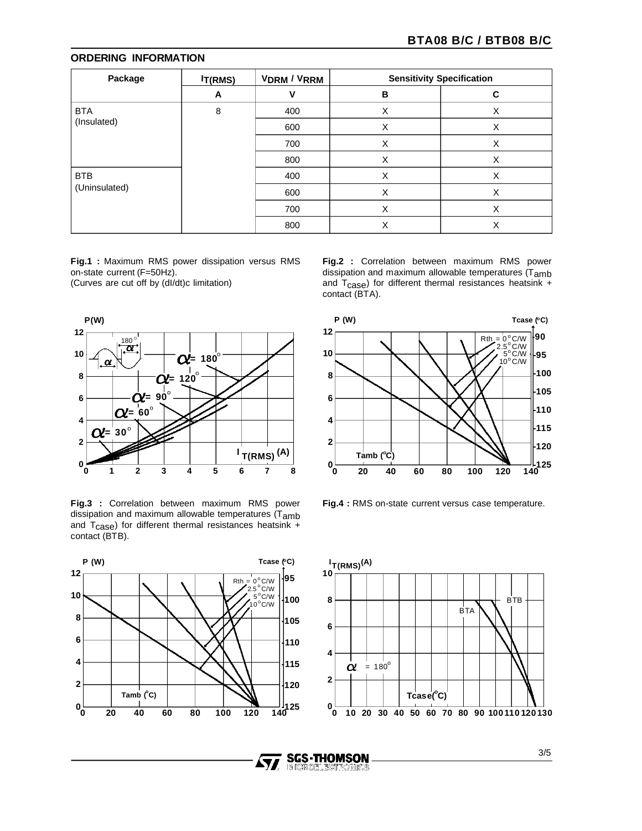#### **ORDERING INFORMATION**

| Package       | $l_{T(RMS)}$ | <b>VDRM / VRRM</b> | <b>Sensitivity Specification</b> |   |
|---------------|--------------|--------------------|----------------------------------|---|
|               | A            | v                  | В                                | C |
| <b>BTA</b>    | 8            | 400                | X                                | х |
| (Insulated)   |              | 600                | X                                | X |
|               |              | 700                | X                                | X |
|               |              | 800                | X                                | X |
| <b>BTB</b>    |              | 400                | X                                | X |
| (Uninsulated) |              | 600                | X                                | X |
|               |              | 700                | X                                | X |
|               |              | 800                | X                                | X |

**Fig.1 :** Maximum RMS power dissipation versus RMS on-state current (F=50Hz). (Curves are cut off by (dI/dt)c limitation)



**Fig.3 :** Correlation between maximum RMS power dissipation and maximum allowable temperatures (T<sub>amb</sub> and T<sub>Case</sub>) for different thermal resistances heatsink + contact (BTB).



**Fig.2 :** Correlation between maximum RMS power dissipation and maximum allowable temperatures (Tamb and  $T_{\text{case}}$ ) for different thermal resistances heatsink + contact (BTA).



**Fig.4 :** RMS on-state current versus case temperature.



**SGS-THOMSON**<br>MIGROELECTRONICS

Ayy

3/5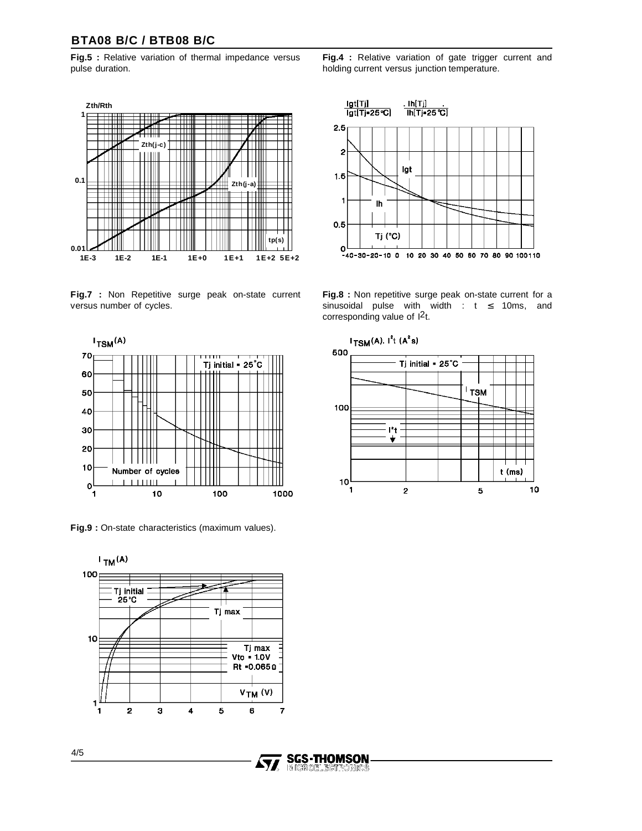#### **BTA08 B/C / BTB08 B/C**

**Fig.5 :** Relative variation of thermal impedance versus pulse duration.



**Fig.7 :** Non Repetitive surge peak on-state current versus number of cycles.



**Fig.9 :** On-state characteristics (maximum values).



**SGS-THOMSON** 

IM IGROEL EGT RONICS

**Ayy** 

**Fig.4 :** Relative variation of gate trigger current and holding current versus junction temperature.



**Fig.8 :** Non repetitive surge peak on-state current for a sinusoidal pulse with width :  $t \le 10$ ms, and corresponding value of  $1^2t$ .